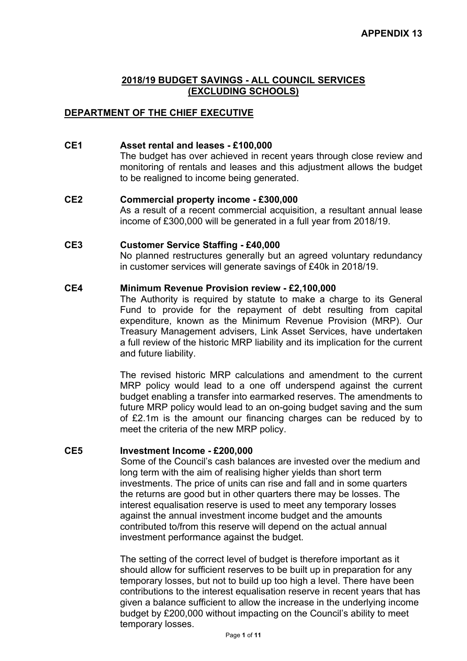## **DEPARTMENT OF THE CHIEF EXECUTIVE**

#### **CE1 Asset rental and leases - £100,000**

The budget has over achieved in recent years through close review and monitoring of rentals and leases and this adjustment allows the budget to be realigned to income being generated.

# **CE2 Commercial property income - £300,000**

As a result of a recent commercial acquisition, a resultant annual lease income of £300,000 will be generated in a full year from 2018/19.

#### **CE3 Customer Service Staffing - £40,000**

No planned restructures generally but an agreed voluntary redundancy in customer services will generate savings of £40k in 2018/19.

## **CE4 Minimum Revenue Provision review - £2,100,000**

The Authority is required by statute to make a charge to its General Fund to provide for the repayment of debt resulting from capital expenditure, known as the Minimum Revenue Provision (MRP). Our Treasury Management advisers, Link Asset Services, have undertaken a full review of the historic MRP liability and its implication for the current and future liability.

The revised historic MRP calculations and amendment to the current MRP policy would lead to a one off underspend against the current budget enabling a transfer into earmarked reserves. The amendments to future MRP policy would lead to an on-going budget saving and the sum of £2.1m is the amount our financing charges can be reduced by to meet the criteria of the new MRP policy.

#### **CE5 Investment Income - £200,000**

Some of the Council's cash balances are invested over the medium and long term with the aim of realising higher yields than short term investments. The price of units can rise and fall and in some quarters the returns are good but in other quarters there may be losses. The interest equalisation reserve is used to meet any temporary losses against the annual investment income budget and the amounts contributed to/from this reserve will depend on the actual annual investment performance against the budget.

The setting of the correct level of budget is therefore important as it should allow for sufficient reserves to be built up in preparation for any temporary losses, but not to build up too high a level. There have been contributions to the interest equalisation reserve in recent years that has given a balance sufficient to allow the increase in the underlying income budget by £200,000 without impacting on the Council's ability to meet temporary losses.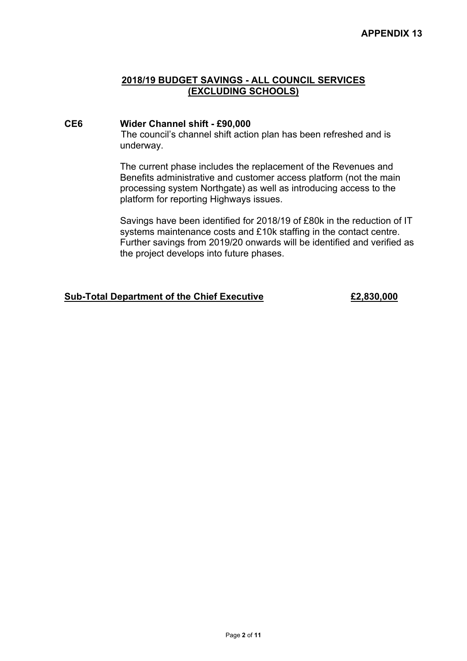## **CE6 Wider Channel shift - £90,000**

The council's channel shift action plan has been refreshed and is underway.

The current phase includes the replacement of the Revenues and Benefits administrative and customer access platform (not the main processing system Northgate) as well as introducing access to the platform for reporting Highways issues.

Savings have been identified for 2018/19 of £80k in the reduction of IT systems maintenance costs and £10k staffing in the contact centre. Further savings from 2019/20 onwards will be identified and verified as the project develops into future phases.

## **Sub-Total Department of the Chief Executive £2,830,000**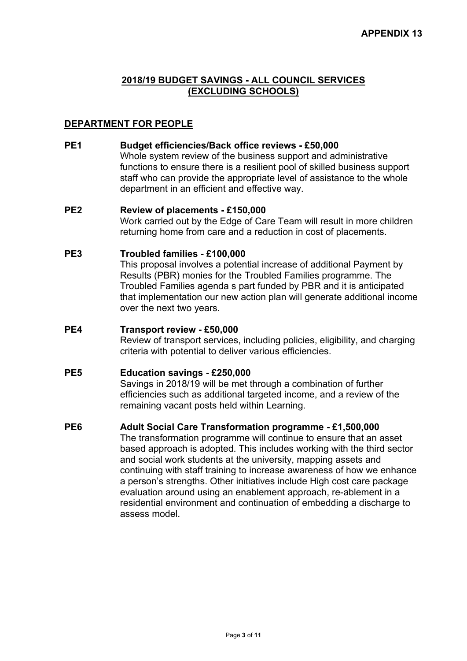## **DEPARTMENT FOR PEOPLE**

## **PE1 Budget efficiencies/Back office reviews - £50,000**

Whole system review of the business support and administrative functions to ensure there is a resilient pool of skilled business support staff who can provide the appropriate level of assistance to the whole department in an efficient and effective way.

#### **PE2 Review of placements - £150,000**

Work carried out by the Edge of Care Team will result in more children returning home from care and a reduction in cost of placements.

#### **PE3 Troubled families - £100,000**

This proposal involves a potential increase of additional Payment by Results (PBR) monies for the Troubled Families programme. The Troubled Families agenda s part funded by PBR and it is anticipated that implementation our new action plan will generate additional income over the next two years.

### **PE4 Transport review - £50,000**

Review of transport services, including policies, eligibility, and charging criteria with potential to deliver various efficiencies.

#### **PE5 Education savings - £250,000**

Savings in 2018/19 will be met through a combination of further efficiencies such as additional targeted income, and a review of the remaining vacant posts held within Learning.

## **PE6 Adult Social Care Transformation programme - £1,500,000**

The transformation programme will continue to ensure that an asset based approach is adopted. This includes working with the third sector and social work students at the university, mapping assets and continuing with staff training to increase awareness of how we enhance a person's strengths. Other initiatives include High cost care package evaluation around using an enablement approach, re-ablement in a residential environment and continuation of embedding a discharge to assess model.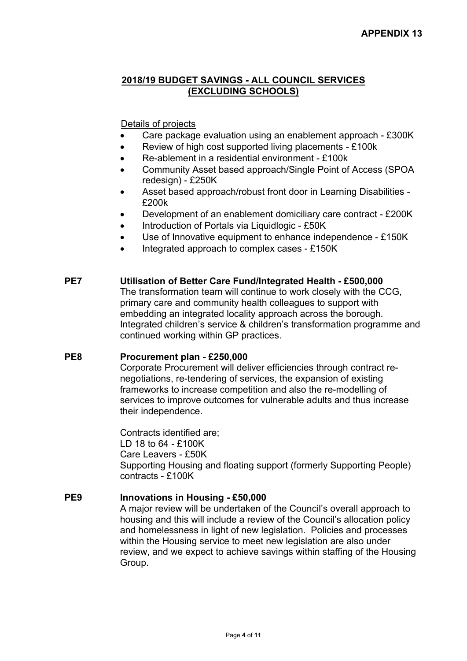## Details of projects

- Care package evaluation using an enablement approach £300K
- Review of high cost supported living placements £100k
- Re-ablement in a residential environment £100k
- Community Asset based approach/Single Point of Access (SPOA redesign) - £250K
- Asset based approach/robust front door in Learning Disabilities £200k
- Development of an enablement domiciliary care contract £200K
- Introduction of Portals via Liquidlogic £50K
- Use of Innovative equipment to enhance independence £150K
- Integrated approach to complex cases £150K

### **PE7 Utilisation of Better Care Fund/Integrated Health - £500,000**

The transformation team will continue to work closely with the CCG, primary care and community health colleagues to support with embedding an integrated locality approach across the borough. Integrated children's service & children's transformation programme and continued working within GP practices.

## **PE8 Procurement plan - £250,000**

Corporate Procurement will deliver efficiencies through contract renegotiations, re-tendering of services, the expansion of existing frameworks to increase competition and also the re-modelling of services to improve outcomes for vulnerable adults and thus increase their independence.

Contracts identified are; LD 18 to 64 - £100K Care Leavers - £50K Supporting Housing and floating support (formerly Supporting People) contracts - £100K

## **PE9 Innovations in Housing - £50,000**

A major review will be undertaken of the Council's overall approach to housing and this will include a review of the Council's allocation policy and homelessness in light of new legislation. Policies and processes within the Housing service to meet new legislation are also under review, and we expect to achieve savings within staffing of the Housing Group.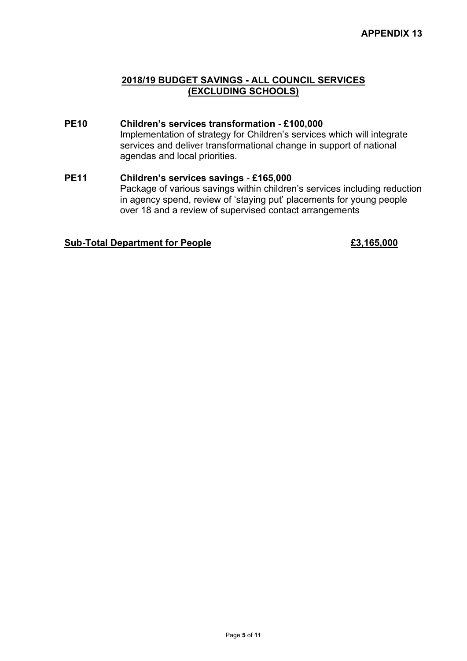- **PE10 Children's services transformation - £100,000** Implementation of strategy for Children's services which will integrate services and deliver transformational change in support of national agendas and local priorities.
- **PE11 Children's services savings £165,000** Package of various savings within children's services including reduction in agency spend, review of 'staying put' placements for young people over 18 and a review of supervised contact arrangements

#### **Sub-Total Department for People £3,165,000**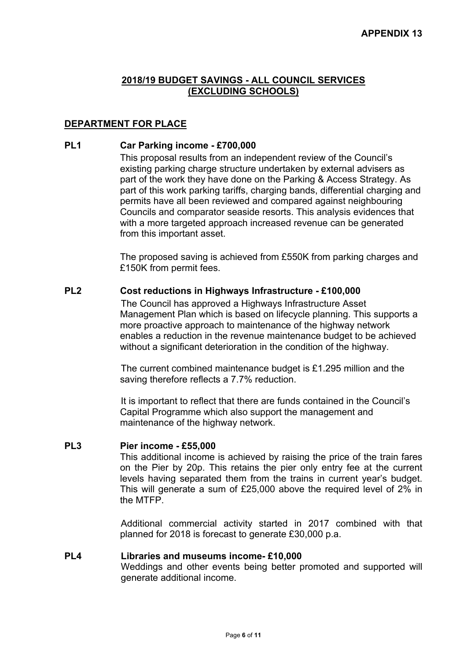## **DEPARTMENT FOR PLACE**

## **PL1 Car Parking income - £700,000**

This proposal results from an independent review of the Council's existing parking charge structure undertaken by external advisers as part of the work they have done on the Parking & Access Strategy. As part of this work parking tariffs, charging bands, differential charging and permits have all been reviewed and compared against neighbouring Councils and comparator seaside resorts. This analysis evidences that with a more targeted approach increased revenue can be generated from this important asset.

The proposed saving is achieved from £550K from parking charges and £150K from permit fees.

## **PL2 Cost reductions in Highways Infrastructure - £100,000**

The Council has approved a Highways Infrastructure Asset Management Plan which is based on lifecycle planning. This supports a more proactive approach to maintenance of the highway network enables a reduction in the revenue maintenance budget to be achieved without a significant deterioration in the condition of the highway.

The current combined maintenance budget is £1.295 million and the saving therefore reflects a 7.7% reduction.

It is important to reflect that there are funds contained in the Council's Capital Programme which also support the management and maintenance of the highway network.

#### **PL3 Pier income - £55,000**

This additional income is achieved by raising the price of the train fares on the Pier by 20p. This retains the pier only entry fee at the current levels having separated them from the trains in current year's budget. This will generate a sum of £25,000 above the required level of 2% in the MTFP.

Additional commercial activity started in 2017 combined with that planned for 2018 is forecast to generate £30,000 p.a.

## **PL4 Libraries and museums income- £10,000**

Weddings and other events being better promoted and supported will generate additional income.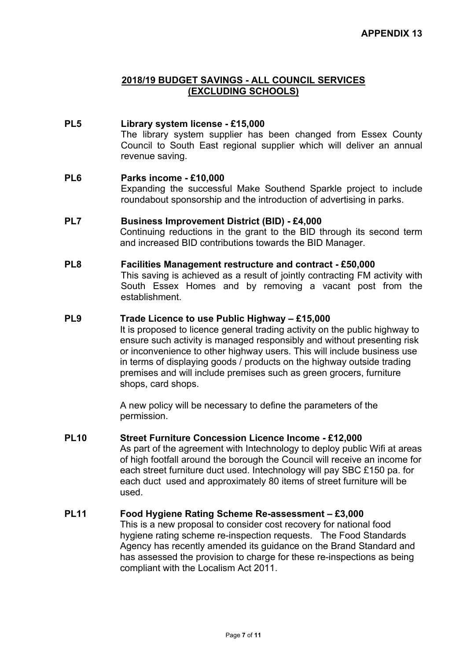#### **PL5 Library system license - £15,000** The library system supplier has been changed from Essex County Council to South East regional supplier which will deliver an annual revenue saving.

#### **PL6 Parks income - £10,000**

Expanding the successful Make Southend Sparkle project to include roundabout sponsorship and the introduction of advertising in parks.

#### **PL7 Business Improvement District (BID) - £4,000**

Continuing reductions in the grant to the BID through its second term and increased BID contributions towards the BID Manager.

#### **PL8 Facilities Management restructure and contract - £50,000**

This saving is achieved as a result of jointly contracting FM activity with South Essex Homes and by removing a vacant post from the establishment.

#### **PL9 Trade Licence to use Public Highway – £15,000**

It is proposed to licence general trading activity on the public highway to ensure such activity is managed responsibly and without presenting risk or inconvenience to other highway users. This will include business use in terms of displaying goods / products on the highway outside trading premises and will include premises such as green grocers, furniture shops, card shops.

A new policy will be necessary to define the parameters of the permission.

## **PL10 Street Furniture Concession Licence Income - £12,000**

As part of the agreement with Intechnology to deploy public Wifi at areas of high footfall around the borough the Council will receive an income for each street furniture duct used. Intechnology will pay SBC £150 pa. for each duct used and approximately 80 items of street furniture will be used.

## **PL11 Food Hygiene Rating Scheme Re-assessment – £3,000**

This is a new proposal to consider cost recovery for national food hygiene rating scheme re-inspection requests. The Food Standards Agency has recently amended its guidance on the Brand Standard and has assessed the provision to charge for these re-inspections as being compliant with the Localism Act 2011.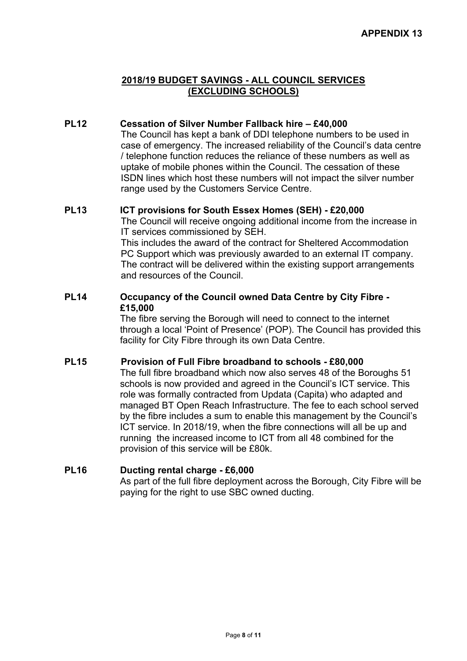## **PL12 Cessation of Silver Number Fallback hire – £40,000**

The Council has kept a bank of DDI telephone numbers to be used in case of emergency. The increased reliability of the Council's data centre / telephone function reduces the reliance of these numbers as well as uptake of mobile phones within the Council. The cessation of these ISDN lines which host these numbers will not impact the silver number range used by the Customers Service Centre.

### **PL13 ICT provisions for South Essex Homes (SEH) - £20,000**

The Council will receive ongoing additional income from the increase in IT services commissioned by SEH. This includes the award of the contract for Sheltered Accommodation

PC Support which was previously awarded to an external IT company. The contract will be delivered within the existing support arrangements and resources of the Council.

## **PL14 Occupancy of the Council owned Data Centre by City Fibre - £15,000**

The fibre serving the Borough will need to connect to the internet through a local 'Point of Presence' (POP). The Council has provided this facility for City Fibre through its own Data Centre.

#### **PL15 Provision of Full Fibre broadband to schools - £80,000**

The full fibre broadband which now also serves 48 of the Boroughs 51 schools is now provided and agreed in the Council's ICT service. This role was formally contracted from Updata (Capita) who adapted and managed BT Open Reach Infrastructure. The fee to each school served by the fibre includes a sum to enable this management by the Council's ICT service. In 2018/19, when the fibre connections will all be up and running the increased income to ICT from all 48 combined for the provision of this service will be £80k.

## **PL16 Ducting rental charge - £6,000**

As part of the full fibre deployment across the Borough, City Fibre will be paying for the right to use SBC owned ducting.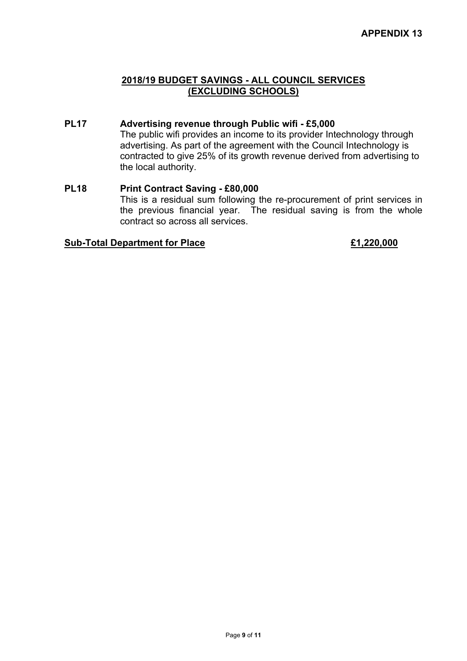## **PL17 Advertising revenue through Public wifi - £5,000**

The public wifi provides an income to its provider Intechnology through advertising. As part of the agreement with the Council Intechnology is contracted to give 25% of its growth revenue derived from advertising to the local authority.

#### **PL18 Print Contract Saving - £80,000** This is a residual sum following the re-procurement of print services in the previous financial year. The residual saving is from the whole contract so across all services.

### **Sub-Total Department for Place £1,220,000**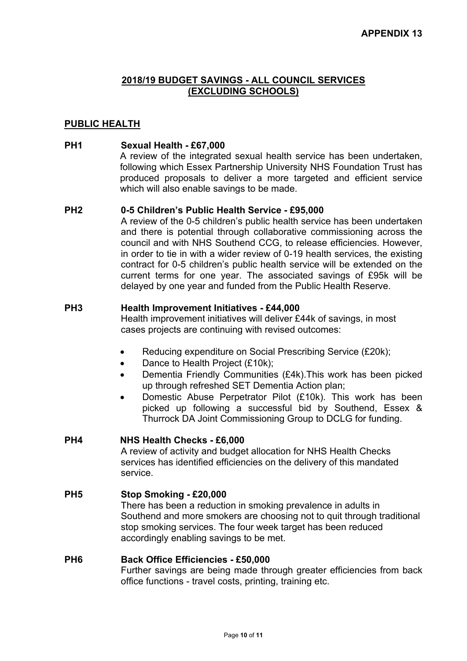## **PUBLIC HEALTH**

## **PH1 Sexual Health - £67,000**

A review of the integrated sexual health service has been undertaken, following which Essex Partnership University NHS Foundation Trust has produced proposals to deliver a more targeted and efficient service which will also enable savings to be made.

#### **PH2 0-5 Children's Public Health Service - £95,000**

A review of the 0-5 children's public health service has been undertaken and there is potential through collaborative commissioning across the council and with NHS Southend CCG, to release efficiencies. However, in order to tie in with a wider review of 0-19 health services, the existing contract for 0-5 children's public health service will be extended on the current terms for one year. The associated savings of £95k will be delayed by one year and funded from the Public Health Reserve.

#### **PH3 Health Improvement Initiatives - £44,000**

Health improvement initiatives will deliver £44k of savings, in most cases projects are continuing with revised outcomes:

- Reducing expenditure on Social Prescribing Service (£20k):
- Dance to Health Project (£10k);
- Dementia Friendly Communities (£4k).This work has been picked up through refreshed SET Dementia Action plan;
- Domestic Abuse Perpetrator Pilot (£10k). This work has been picked up following a successful bid by Southend, Essex & Thurrock DA Joint Commissioning Group to DCLG for funding.

#### **PH4 NHS Health Checks - £6,000**

A review of activity and budget allocation for NHS Health Checks services has identified efficiencies on the delivery of this mandated service.

#### **PH5 Stop Smoking - £20,000**

There has been a reduction in smoking prevalence in adults in Southend and more smokers are choosing not to quit through traditional stop smoking services. The four week target has been reduced accordingly enabling savings to be met.

#### **PH6 Back Office Efficiencies - £50,000**

Further savings are being made through greater efficiencies from back office functions - travel costs, printing, training etc.